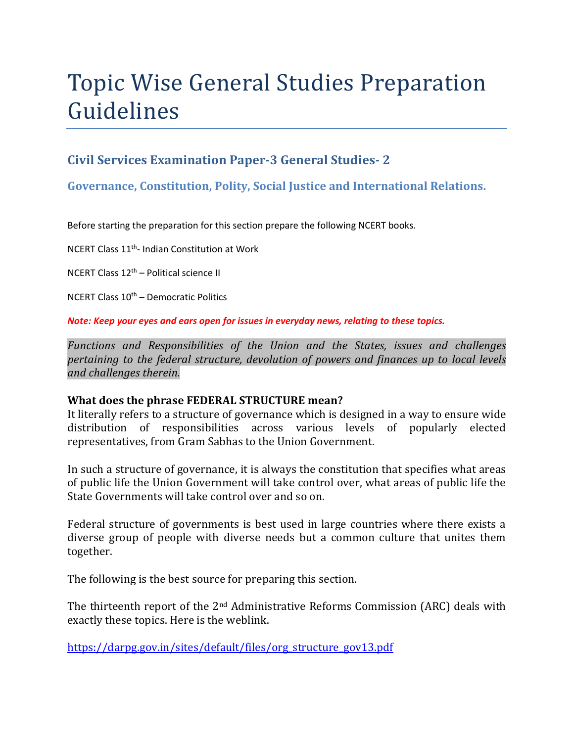# Topic Wise General Studies Preparation Guidelines

## **Civil Services Examination Paper-3 General Studies- 2**

## **Governance, Constitution, Polity, Social Justice and International Relations.**

Before starting the preparation for this section prepare the following NCERT books.

NCERT Class 11th- Indian Constitution at Work

NCERT Class 12th – Political science II

NCERT Class  $10^{th}$  – Democratic Politics

*Note: Keep your eyes and ears open for issues in everyday news, relating to these topics.* 

*Functions and Responsibilities of the Union and the States, issues and challenges pertaining to the federal structure, devolution of powers and finances up to local levels and challenges therein.* 

#### **What does the phrase FEDERAL STRUCTURE mean?**

It literally refers to a structure of governance which is designed in a way to ensure wide distribution of responsibilities across various levels of popularly elected representatives, from Gram Sabhas to the Union Government.

In such a structure of governance, it is always the constitution that specifies what areas of public life the Union Government will take control over, what areas of public life the State Governments will take control over and so on.

Federal structure of governments is best used in large countries where there exists a diverse group of people with diverse needs but a common culture that unites them together.

The following is the best source for preparing this section.

The thirteenth report of the 2nd Administrative Reforms Commission (ARC) deals with exactly these topics. Here is the weblink.

https://darpg.gov.in/sites/default/files/org\_structure\_gov13.pdf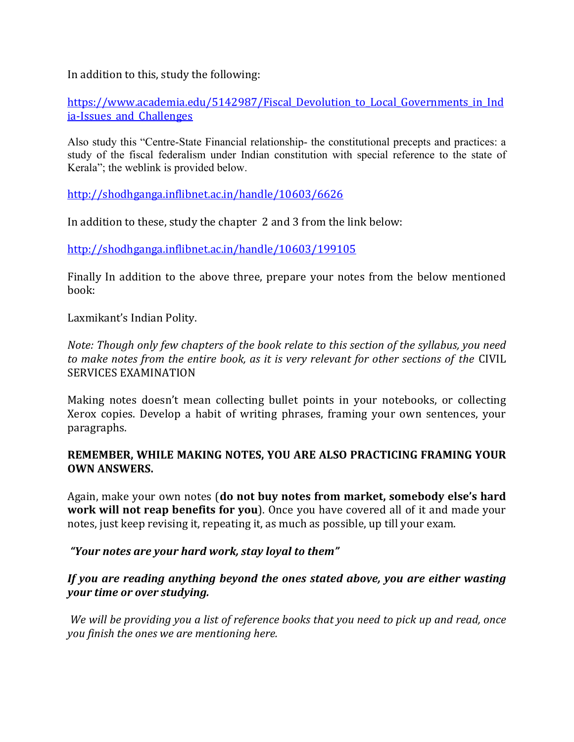In addition to this, study the following:

https://www.academia.edu/5142987/Fiscal Devolution to Local Governments in Ind ia-Issues and Challenges

Also study this "Centre-State Financial relationship- the constitutional precepts and practices: a study of the fiscal federalism under Indian constitution with special reference to the state of Kerala"; the weblink is provided below.

http://shodhganga.inflibnet.ac.in/handle/10603/6626

In addition to these, study the chapter 2 and 3 from the link below:

http://shodhganga.inflibnet.ac.in/handle/10603/199105

Finally In addition to the above three, prepare your notes from the below mentioned book:

Laxmikant's Indian Polity.

*Note: Though only few chapters of the book relate to this section of the syllabus, you need to make notes from the entire book, as it is very relevant for other sections of the* CIVIL SERVICES EXAMINATION

Making notes doesn't mean collecting bullet points in your notebooks, or collecting Xerox copies. Develop a habit of writing phrases, framing your own sentences, your paragraphs.

#### **REMEMBER, WHILE MAKING NOTES, YOU ARE ALSO PRACTICING FRAMING YOUR OWN ANSWERS.**

Again, make your own notes (**do not buy notes from market, somebody else's hard work will not reap benefits for you**). Once you have covered all of it and made your notes, just keep revising it, repeating it, as much as possible, up till your exam.

 *"Your notes are your hard work, stay loyal to them"* 

### *If you are reading anything beyond the ones stated above, you are either wasting your time or over studying.*

*We will be providing you a list of reference books that you need to pick up and read, once you finish the ones we are mentioning here.*